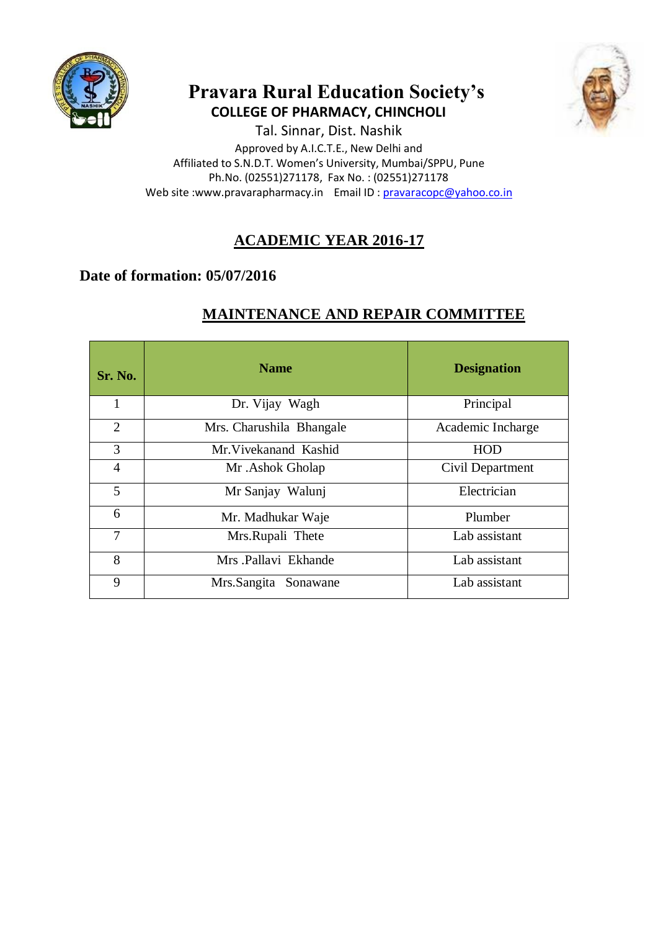

# **Pravara Rural Education Society's COLLEGE OF PHARMACY, CHINCHOLI**



Tal. Sinnar, Dist. Nashik Approved by A.I.C.T.E., New Delhi and Affiliated to S.N.D.T. Women's University, Mumbai/SPPU, Pune Ph.No. (02551)271178, Fax No. : (02551)271178 Web site :www.pravarapharmacy.in Email ID : [pravaracopc@yahoo.co.in](mailto:pravaracopc@yahoo.co.in)

# **ACADEMIC YEAR 2016-17**

## **Date of formation: 05/07/2016**

# **MAINTENANCE AND REPAIR COMMITTEE**

| Sr. No.        | <b>Name</b>              | <b>Designation</b> |
|----------------|--------------------------|--------------------|
| 1              | Dr. Vijay Wagh           | Principal          |
| $\overline{2}$ | Mrs. Charushila Bhangale | Academic Incharge  |
| 3              | Mr. Vivekanand Kashid    | <b>HOD</b>         |
| $\overline{4}$ | Mr. Ashok Gholap         | Civil Department   |
| 5              | Mr Sanjay Walunj         | Electrician        |
| 6              | Mr. Madhukar Waje        | Plumber            |
| 7              | Mrs.Rupali Thete         | Lab assistant      |
| 8              | Mrs Pallavi Ekhande      | Lab assistant      |
| 9              | Mrs.Sangita Sonawane     | Lab assistant      |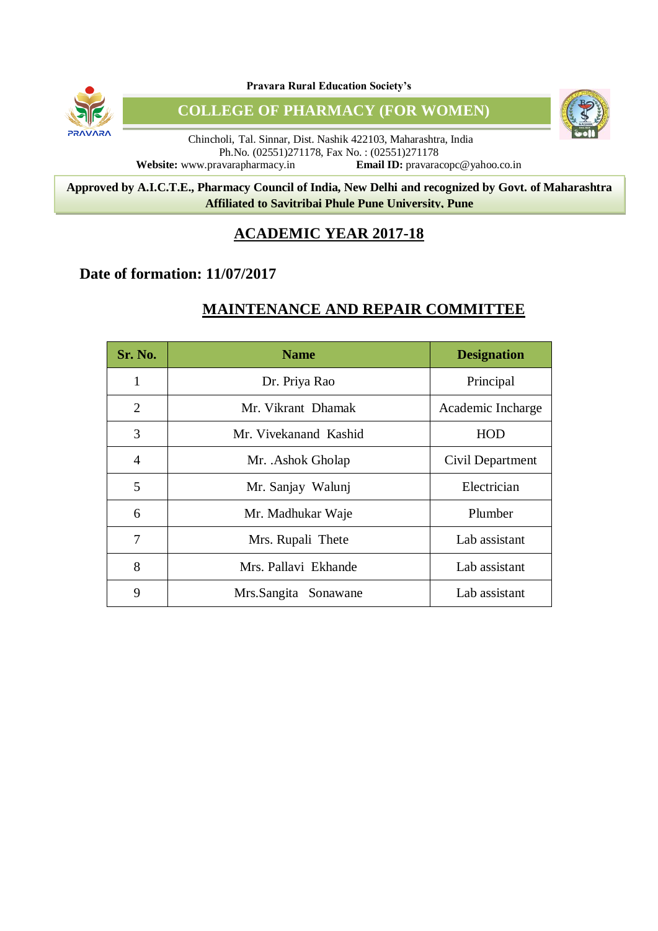

**Pravara Rural Education Society's**

**COLLEGE OF PHARMACY (FOR WOMEN)**



8 **Approved by A.I.C.T.E., Pharmacy Council of India, New Delhi and recognized by Govt. of Maharashtra Affiliated to Savitribai Phule Pune University, Pune**

## **ACADEMIC YEAR 2017-18**

## **Date of formation: 11/07/2017**

# **MAINTENANCE AND REPAIR COMMITTEE**

| Sr. No. | <b>Name</b>             | <b>Designation</b> |
|---------|-------------------------|--------------------|
| 1       | Dr. Priya Rao           | Principal          |
| 2       | Mr. Vikrant Dhamak      | Academic Incharge  |
| 3       | Mr. Vivekanand Kashid   | HOD                |
| 4       | Mr. .Ashok Gholap       | Civil Department   |
| 5       | Mr. Sanjay Walunj       | Electrician        |
| 6       | Mr. Madhukar Waje       | Plumber            |
| 7       | Mrs. Rupali Thete       | Lab assistant      |
| 8       | Mrs. Pallavi Ekhande    | Lab assistant      |
| 9       | Mrs.Sangita<br>Sonawane | Lab assistant      |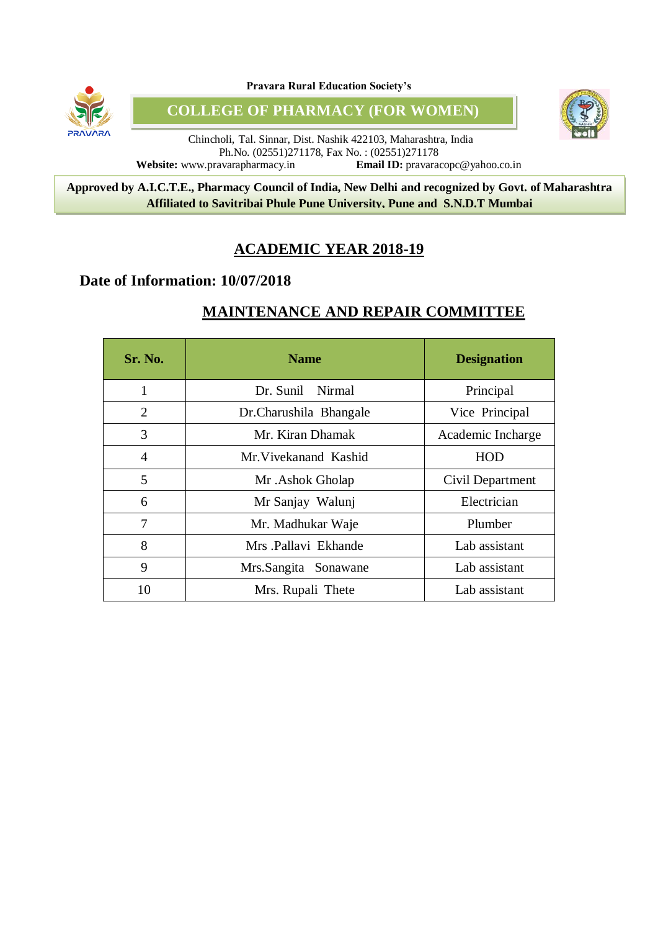

**Pravara Rural Education Society's**

**COLLEGE OF PHARMACY (FOR WOMEN)**



Chincholi, Tal. Sinnar, Dist. Nashik 422103, Maharashtra, India Ph.No. (02551)271178, Fax No. : (02551)271178 **Website:** www.pravarapharmacy.in **Email ID:** pravaracopc@yahoo.co.in

8 **Approved by A.I.C.T.E., Pharmacy Council of India, New Delhi and recognized by Govt. of Maharashtra Affiliated to Savitribai Phule Pune University, Pune and S.N.D.T Mumbai**

## **ACADEMIC YEAR 2018-19**

### **Date of Information: 10/07/2018**

# **MAINTENANCE AND REPAIR COMMITTEE**

| <b>Sr. No.</b> | <b>Name</b>            | <b>Designation</b> |
|----------------|------------------------|--------------------|
| 1              | Dr. Sunil Nirmal       | Principal          |
| 2              | Dr.Charushila Bhangale | Vice Principal     |
| 3              | Mr. Kiran Dhamak       | Academic Incharge  |
| $\overline{A}$ | Mr Vivekanand Kashid   | HOD                |
| 5              | Mr. Ashok Gholap       | Civil Department   |
| 6              | Mr Sanjay Walunj       | Electrician        |
| 7              | Mr. Madhukar Waje      | Plumber            |
| 8              | Mrs Pallavi Ekhande    | Lab assistant      |
| 9              | Mrs.Sangita Sonawane   | Lab assistant      |
| 10             | Mrs. Rupali Thete      | Lab assistant      |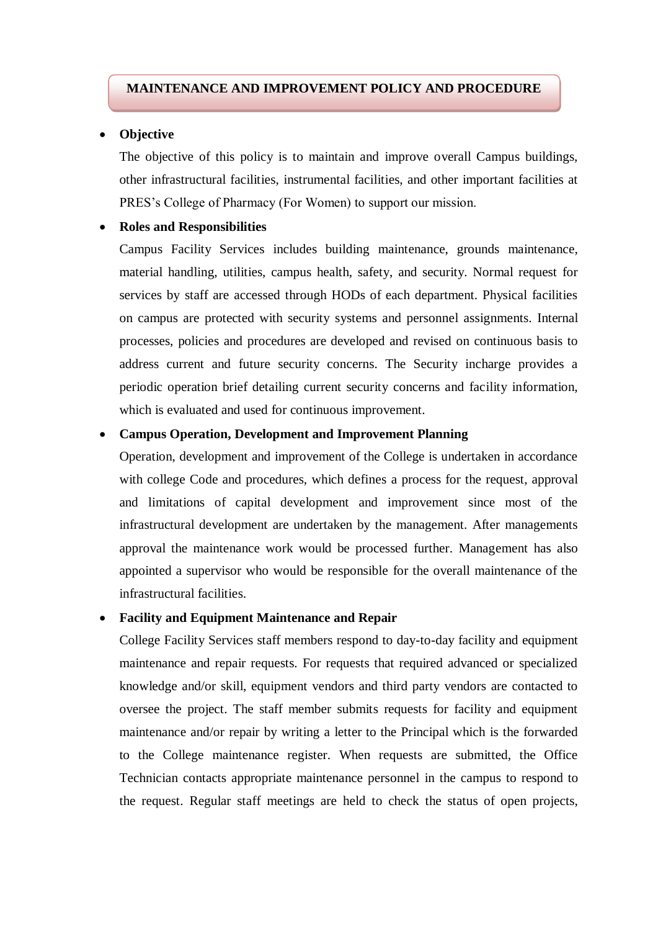### **MAINTENANCE AND IMPROVEMENT POLICY AND PROCEDURE**

### **Objective**

The objective of this policy is to maintain and improve overall Campus buildings, other infrastructural facilities, instrumental facilities, and other important facilities at PRES's College of Pharmacy (For Women) to support our mission.

#### **Roles and Responsibilities**

Campus Facility Services includes building maintenance, grounds maintenance, material handling, utilities, campus health, safety, and security. Normal request for services by staff are accessed through HODs of each department. Physical facilities on campus are protected with security systems and personnel assignments. Internal processes, policies and procedures are developed and revised on continuous basis to address current and future security concerns. The Security incharge provides a periodic operation brief detailing current security concerns and facility information, which is evaluated and used for continuous improvement.

### **Campus Operation, Development and Improvement Planning**

Operation, development and improvement of the College is undertaken in accordance with college Code and procedures, which defines a process for the request, approval and limitations of capital development and improvement since most of the infrastructural development are undertaken by the management. After managements approval the maintenance work would be processed further. Management has also appointed a supervisor who would be responsible for the overall maintenance of the infrastructural facilities.

### **Facility and Equipment Maintenance and Repair**

College Facility Services staff members respond to day-to-day facility and equipment maintenance and repair requests. For requests that required advanced or specialized knowledge and/or skill, equipment vendors and third party vendors are contacted to oversee the project. The staff member submits requests for facility and equipment maintenance and/or repair by writing a letter to the Principal which is the forwarded to the College maintenance register. When requests are submitted, the Office Technician contacts appropriate maintenance personnel in the campus to respond to the request. Regular staff meetings are held to check the status of open projects,